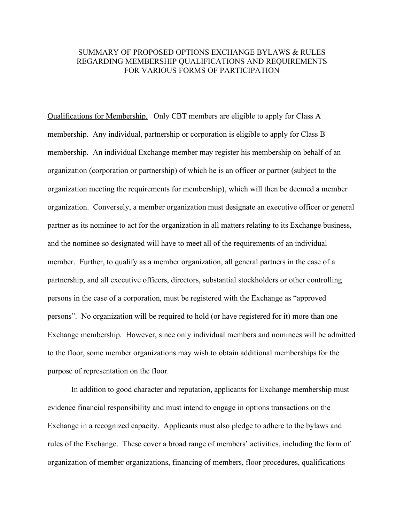## SUMMARY OF PROPOSED OPTIONS EXCHANGE BYLAWS & RULES REGARDING MEMBERSHIP QUALIFICATIONS AND REQUIREMENTS FOR VARIOUS FORMS OF PARTICIPATION

Qualifications for Membership. Only CBT members are eligible to apply for Class A membership. Any individual, partnership or corporation is eligible to apply for Class B membership. An individual Exchange member may register his membership on behalf of an organization (corporation or partnership) of which he is an officer or partner (subject to the organization meeting the requirements for membership), which will then be deemed a member organization. Conversely, a member organization must designate an executive officer or general partner as its nominee to act for the organization in all matters relating to its Exchange business, and the nominee so designated will have to meet all of the requirements of an individual member. Further, to qualify as a member organization, all general partners in the case of a partnership, and all executive officers, directors, substantial stockholders or other controlling persons in the case of a corporation, must be registered with the Exchange as "approved persons". No organization will be required to hold (or have registered for it) more than one Exchange membership. However, since only individual members and nominees will be admitted to the floor, some member organizations may wish to obtain additional memberships for the purpose of representation on the floor.

In addition to good character and reputation, applicants for Exchange membership must evidence financial responsibility and must intend to engage in options transactions on the Exchange in a recognized capacity. Applicants must also pledge to adhere to the bylaws and rules of the Exchange. These cover a broad range of members' activities, including the form of organization of member organizations, financing of members, floor procedures, qualifications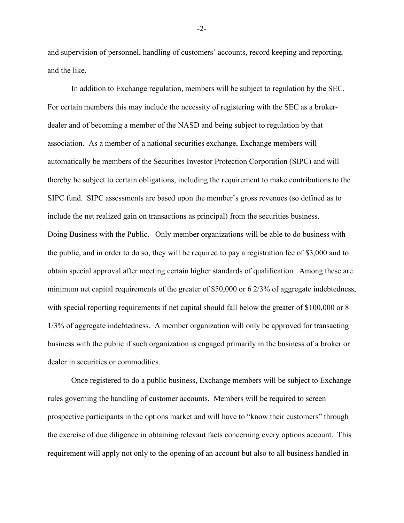and supervision of personnel, handling of customers' accounts, record keeping and reporting, and the like.

In addition to Exchange regulation, members will be subject to regulation by the SEC. For certain members this may include the necessity of registering with the SEC as a brokerdealer and of becoming a member of the NASD and being subject to regulation by that association. As a member of a national securities exchange, Exchange members will automatically be members of the Securities Investor Protection Corporation (SIPC) and will thereby be subject to certain obligations, including the requirement to make contributions to the SIPC fund. SIPC assessments are based upon the member's gross revenues (so defined as to include the net realized gain on transactions as principal) from the securities business. Doing Business with the Public. Only member organizations will be able to do business with the public, and in order to do so, they will be required to pay a registration fee of \$3,000 and to obtain special approval after meeting certain higher standards of qualification. Among these are minimum net capital requirements of the greater of \$50,000 or 6 2/3% of aggregate indebtedness, with special reporting requirements if net capital should fall below the greater of \$100,000 or 8 1/3% of aggregate indebtedness. A member organization will only be approved for transacting business with the public if such organization is engaged primarily in the business of a broker or dealer in securities or commodities.

Once registered to do a public business, Exchange members will be subject to Exchange rules governing the handling of customer accounts. Members will be required to screen prospective participants in the options market and will have to "know their customers" through the exercise of due diligence in obtaining relevant facts concerning every options account. This requirement will apply not only to the opening of an account but also to all business handled in

-2-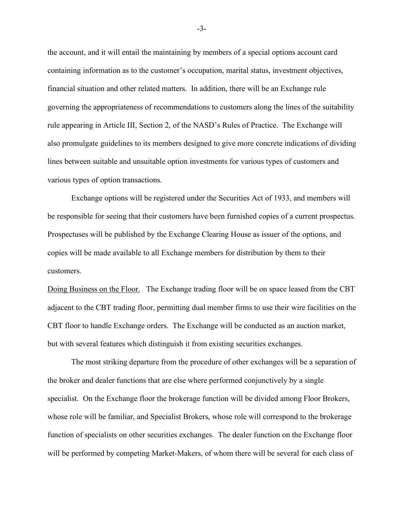the account, and it will entail the maintaining by members of a special options account card containing information as to the customer's occupation, marital status, investment objectives, financial situation and other related matters. In addition, there will be an Exchange rule governing the appropriateness of recommendations to customers along the lines of the suitability rule appearing in Article III, Section 2, of the NASD's Rules of Practice. The Exchange will also promulgate guidelines to its members designed to give more concrete indications of dividing lines between suitable and unsuitable option investments for various types of customers and various types of option transactions.

Exchange options will be registered under the Securities Act of 1933, and members will be responsible for seeing that their customers have been furnished copies of a current prospectus. Prospectuses will be published by the Exchange Clearing House as issuer of the options, and copies will be made available to all Exchange members for distribution by them to their customers.

Doing Business on the Floor. The Exchange trading floor will be on space leased from the CBT adjacent to the CBT trading floor, permitting dual member firms to use their wire facilities on the CBT floor to handle Exchange orders. The Exchange will be conducted as an auction market, but with several features which distinguish it from existing securities exchanges.

The most striking departure from the procedure of other exchanges will be a separation of the broker and dealer functions that are else where performed conjunctively by a single specialist. On the Exchange floor the brokerage function will be divided among Floor Brokers, whose role will be familiar, and Specialist Brokers, whose role will correspond to the brokerage function of specialists on other securities exchanges. The dealer function on the Exchange floor will be performed by competing Market-Makers, of whom there will be several for each class of

-3-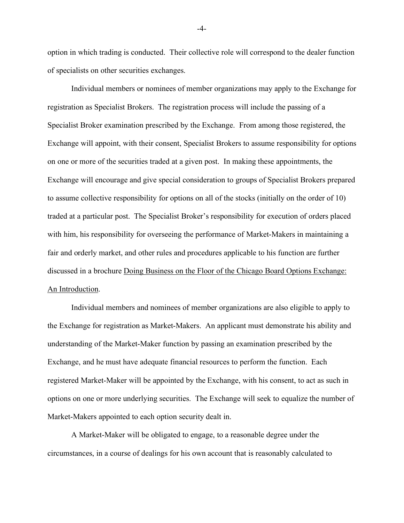option in which trading is conducted. Their collective role will correspond to the dealer function of specialists on other securities exchanges.

Individual members or nominees of member organizations may apply to the Exchange for registration as Specialist Brokers. The registration process will include the passing of a Specialist Broker examination prescribed by the Exchange. From among those registered, the Exchange will appoint, with their consent, Specialist Brokers to assume responsibility for options on one or more of the securities traded at a given post. In making these appointments, the Exchange will encourage and give special consideration to groups of Specialist Brokers prepared to assume collective responsibility for options on all of the stocks (initially on the order of 10) traded at a particular post. The Specialist Broker's responsibility for execution of orders placed with him, his responsibility for overseeing the performance of Market-Makers in maintaining a fair and orderly market, and other rules and procedures applicable to his function are further discussed in a brochure Doing Business on the Floor of the Chicago Board Options Exchange: An Introduction.

Individual members and nominees of member organizations are also eligible to apply to the Exchange for registration as Market-Makers. An applicant must demonstrate his ability and understanding of the Market-Maker function by passing an examination prescribed by the Exchange, and he must have adequate financial resources to perform the function. Each registered Market-Maker will be appointed by the Exchange, with his consent, to act as such in options on one or more underlying securities. The Exchange will seek to equalize the number of Market-Makers appointed to each option security dealt in.

A Market-Maker will be obligated to engage, to a reasonable degree under the circumstances, in a course of dealings for his own account that is reasonably calculated to

-4-